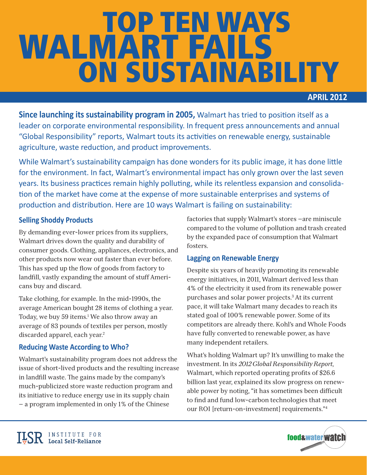# ON SUSTAINABILITY WALMART FAILS TOP TEN WAYS

# **APRIL'2012**

**Since launching its sustainability program in 2005,** Walmart has tried to position itself as a leader on corporate environmental responsibility. In frequent press announcements and annual "Global Responsibility" reports, Walmart touts its activities on renewable energy, sustainable agriculture, waste reduction, and product improvements.

While Walmart's sustainability campaign has done wonders for its public image, it has done little for the environment. In fact, Walmart's environmental impact has only grown over the last seven years. Its business practices remain highly polluting, while its relentless expansion and consolidation of the market have come at the expense of more sustainable enterprises and systems of production and distribution. Here are 10 ways Walmart is failing on sustainability:

# **Selling'Shoddy'Products'**

By demanding ever-lower prices from its suppliers, Walmart drives down the quality and durability of consumer goods. Clothing, appliances, electronics, and other products now wear out faster than ever before. This has sped up the flow of goods from factory to landfill, vastly expanding the amount of stuff Americans buy and discard.

Take clothing, for example. In the mid-1990s, the average American bought 28 items of clothing a year. Today, we buy 59 items.<sup>1</sup> We also throw away an average of 83 pounds of textiles per person, mostly discarded apparel, each year.<sup>2</sup>

# **Reducing Waste According to Who?**

**ILSR** INSTITUTE FOR

Walmart's sustainability program does not address the issue of short-lived products and the resulting increase in landfill waste. The gains made by the company's much-publicized store waste reduction program and its initiative to reduce energy use in its supply chain — a program implemented in only 1% of the Chinese

factories that supply Walmart's stores —are miniscule compared to the volume of pollution and trash created by the expanded pace of consumption that Walmart fosters.

# **Lagging on Renewable Energy**

Despite six years of heavily promoting its renewable energy initiatives, in 2011, Walmart derived less than 4% of the electricity it used from its renewable power purchases and solar power projects.3 At its current pace, it will take Walmart many decades to reach its stated goal of 100% renewable power. Some of its competitors are already there. Kohl's and Whole Foods have fully converted to renewable power, as have many independent retailers.

What's holding Walmart up? It's unwilling to make the investment. In its *2012 Global Responsibility Report*, Walmart, which reported operating profits of \$26.6 billion last year, explained its slow progress on renewable power by noting, "it has sometimes been difficult to find and fund low-carbon technologies that meet our ROI [return-on-investment] requirements."4

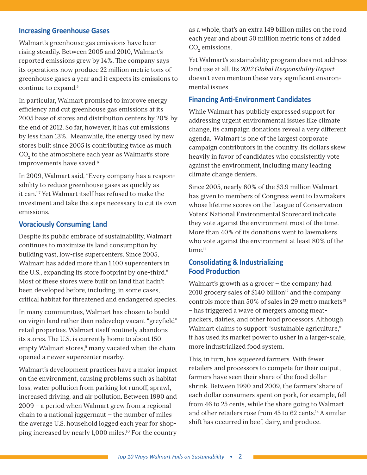## **Increasing Greenhouse Gases**

Walmart's greenhouse gas emissions have been rising steadily. Between 2005 and 2010, Walmart's reported emissions grew by 14%. The company says its operations now produce 22 million metric tons of greenhouse gases a year and it expects its emissions to continue to expand.5

In particular, Walmart promised to improve energy efficiency and cut greenhouse gas emissions at its 2005 base of stores and distribution centers by 20% by the end of 2012. So far, however, it has cut emissions by less than 13%. Meanwhile, the energy used by new stores built since 2005 is contributing twice as much  $\mathrm{CO}_2^{}$  to the atmosphere each year as Walmart's store improvements have saved.<sup>6</sup>

In 2009, Walmart said, "Every company has a responsibility to reduce greenhouse gases as quickly as it can."7 Yet Walmart itself has refused to make the investment and take the steps necessary to cut its own emissions.

### **Voraciously Consuming Land**

Despite its public embrace of sustainability, Walmart continues to maximize its land consumption by building vast, low-rise supercenters. Since 2005, Walmart has added more than 1,100 supercenters in the U.S., expanding its store footprint by one-third.<sup>8</sup> Most of these stores were built on land that hadn't been developed before, including, in some cases, critical habitat for threatened and endangered species.

In many communities, Walmart has chosen to build on virgin land rather than redevelop vacant "greyfield" retail properties. Walmart itself routinely abandons its stores. The U.S. is currently home to about 150 empty Walmart stores,<sup>9</sup> many vacated when the chain opened a newer supercenter nearby.

Walmart's development practices have a major impact on the environment, causing problems such as habitat loss, water pollution from parking lot runoff, sprawl, increased driving, and air pollution. Between 1990 and 2009 – a period when Walmart grew from a regional chain to a national juggernaut  $-$  the number of miles the average U.S. household logged each year for shopping increased by nearly 1,000 miles.<sup>10</sup> For the country

as a whole, that's an extra 149 billion miles on the road each year and about 50 million metric tons of added  $CO<sub>2</sub>$  emissions.

Yet Walmart's sustainability program does not address land use at all. Its *2012 Global Responsibility Report* doesn't even mention these very significant environmental issues.

#### **Financing Anti-Environment Candidates**

While Walmart has publicly expressed support for addressing urgent environmental issues like climate change, its campaign donations reveal a very different agenda. Walmart is one of the largest corporate campaign contributors in the country. Its dollars skew heavily in favor of candidates who consistently vote against the environment, including many leading climate change deniers.

Since 2005, nearly 60% of the \$3.9 million Walmart has given to members of Congress went to lawmakers whose lifetime scores on the League of Conservation Voters' National Environmental Scorecard indicate they vote against the environment most of the time. More than 40% of its donations went to lawmakers who vote against the environment at least 80% of the time.<sup>11</sup>

## **Consolidating & Industrializing Food Production**

Walmart's growth as a grocer — the company had 2010 grocery sales of \$140 billion $12$  and the company controls more than 50% of sales in 29 metro markets $13$ – has triggered a wave of mergers among meatpackers, dairies, and other food processors. Although Walmart claims to support "sustainable agriculture," it has used its market power to usher in a larger-scale, more industrialized food system.

This, in turn, has squeezed farmers. With fewer retailers and processors to compete for their output, farmers have seen their share of the food dollar shrink. Between 1990 and 2009, the farmers' share of each dollar consumers spent on pork, for example, fell from 46 to 25 cents, while the share going to Walmart and other retailers rose from 45 to 62 cents.14 A similar shift has occurred in beef, dairy, and produce.